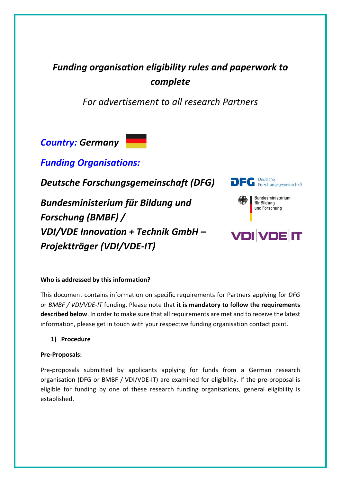## *Funding organisation eligibility rules and paperwork to complete*

*For advertisement to all research Partners*

*Country: Germany*

*Funding Organisations:*

*Deutsche Forschungsgemeinschaft (DFG)*

*Bundesministerium für Bildung und Forschung (BMBF) / VDI/VDE Innovation + Technik GmbH – Projektträger (VDI/VDE-IT)*



# **VDI VDE IT**

#### **Who is addressed by this information?**

This document contains information on specific requirements for Partners applying for *DFG*  or *BMBF / VDI/VDE-IT* funding. Please note that **it is mandatory to follow the requirements described below**. In order to make sure that all requirements are met and to receive the latest information, please get in touch with your respective funding organisation contact point.

**1) Procedure**

#### **Pre-Proposals:**

Pre-proposals submitted by applicants applying for funds from a German research organisation (DFG or BMBF / VDI/VDE-IT) are examined for eligibility. If the pre-proposal is eligible for funding by one of these research funding organisations, general eligibility is established.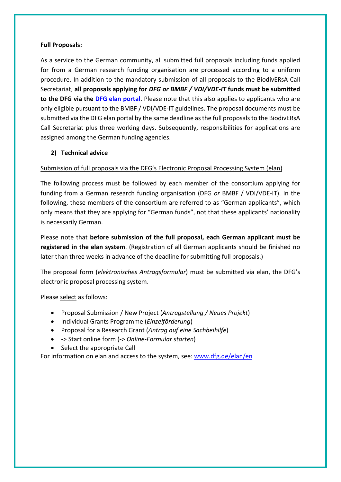#### **Full Proposals:**

As a service to the German community, all submitted full proposals including funds applied for from a German research funding organisation are processed according to a uniform procedure. In addition to the mandatory submission of all proposals to the BiodivERsA Call Secretariat, **all proposals applying for** *DFG or BMBF / VDI/VDE-IT* **funds must be submitted to the DFG via the [DFG elan portal](https://elan.dfg.de/my.policy)**. Please note that this also applies to applicants who are only eligible pursuant to the BMBF / VDI/VDE-IT guidelines. The proposal documents must be submitted via the DFG elan portal by the same deadline as the full proposals to the BiodivERsA Call Secretariat plus three working days. Subsequently, responsibilities for applications are assigned among the German funding agencies.

#### **2) Technical advice**

#### Submission of full proposals via the DFG's Electronic Proposal Processing System (elan)

The following process must be followed by each member of the consortium applying for funding from a German research funding organisation (DFG *or* BMBF / VDI/VDE-IT). In the following, these members of the consortium are referred to as "German applicants", which only means that they are applying for "German funds", not that these applicants' nationality is necessarily German.

Please note that **before submission of the full proposal, each German applicant must be registered in the elan system**. (Registration of all German applicants should be finished no later than three weeks in advance of the deadline for submitting full proposals.)

The proposal form (*elektronisches Antragsformular*) must be submitted via elan, the DFG's electronic proposal processing system.

Please select as follows:

- Proposal Submission / New Project (*Antragstellung / Neues Projekt*)
- Individual Grants Programme (*Einzelförderung*)
- Proposal for a Research Grant (*Antrag auf eine Sachbeihilfe*)
- -> Start online form (-> *Online-Formular starten*)
- Select the appropriate Call

For information on elan and access to the system, see: [www.dfg.de/elan/en](http://www.dfg.de/elan/en)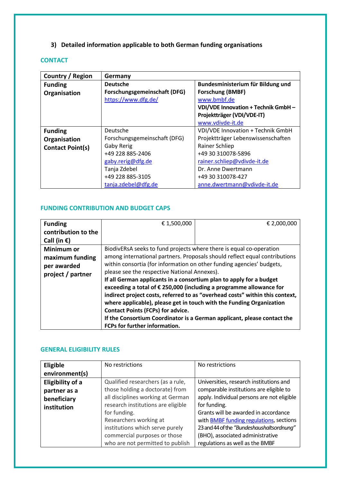### **3) Detailed information applicable to both German funding organisations**

#### **CONTACT**

| Country / Region | Germany                      |                                    |
|------------------|------------------------------|------------------------------------|
| <b>Funding</b>   | <b>Deutsche</b>              | Bundesministerium für Bildung und  |
| Organisation     | Forschungsgemeinschaft (DFG) | Forschung (BMBF)                   |
|                  | https://www.dfg.de/          | www.bmbf.de                        |
|                  |                              | VDI/VDE Innovation + Technik GmbH- |
|                  |                              | Projektträger (VDI/VDE-IT)         |
|                  |                              | www.vdivde-it.de                   |
| <b>Funding</b>   | Deutsche                     | VDI/VDE Innovation + Technik GmbH  |
| Organisation     | Forschungsgemeinschaft (DFG) | Projektträger Lebenswissenschaften |
| Contact Point(s) | Gaby Rerig                   | Rainer Schliep                     |
|                  | +49 228 885-2406             | +49 30 310078-5896                 |
|                  | gaby.rerig@dfg.de            | rainer.schliep@vdivde-it.de        |
|                  | Tanja Zdebel                 | Dr. Anne Dwertmann                 |
|                  | +49 228 885-3105             | +49 30 310078-427                  |
|                  | tanja.zdebel@dfg.de          | anne.dwertmann@vdivde-it.de        |

#### **FUNDING CONTRIBUTION AND BUDGET CAPS**

| <b>Funding</b>      | € 1,500,000                                                                | € 2,000,000                                                                  |
|---------------------|----------------------------------------------------------------------------|------------------------------------------------------------------------------|
| contribution to the |                                                                            |                                                                              |
| Call (in €)         |                                                                            |                                                                              |
| Minimum or          | BiodivERsA seeks to fund projects where there is equal co-operation        |                                                                              |
| maximum funding     | among international partners. Proposals should reflect equal contributions |                                                                              |
| per awarded         | within consortia (for information on other funding agencies' budgets,      |                                                                              |
| project / partner   | please see the respective National Annexes).                               |                                                                              |
|                     | If all German applicants in a consortium plan to apply for a budget        |                                                                              |
|                     | exceeding a total of € 250,000 (including a programme allowance for        |                                                                              |
|                     |                                                                            | indirect project costs, referred to as "overhead costs" within this context, |
|                     | where applicable), please get in touch with the Funding Organization       |                                                                              |
|                     | <b>Contact Points (FCPs) for advice.</b>                                   |                                                                              |
|                     |                                                                            | If the Consortium Coordinator is a German applicant, please contact the      |
|                     | FCPs for further information.                                              |                                                                              |

#### **GENERAL ELIGIBILITY RULES**

| Eligible<br>environment(s) | No restrictions                    | No restrictions                            |
|----------------------------|------------------------------------|--------------------------------------------|
|                            |                                    |                                            |
| <b>Eligibility of a</b>    | Qualified researchers (as a rule,  | Universities, research institutions and    |
| partner as a               | those holding a doctorate) from    | comparable institutions are eligible to    |
| beneficiary                | all disciplines working at German  | apply. Individual persons are not eligible |
| institution                | research institutions are eligible | for funding.                               |
|                            | for funding.                       | Grants will be awarded in accordance       |
|                            | Researchers working at             | with BMBF funding regulations, sections    |
|                            | institutions which serve purely    | 23 and 44 of the "Bundeshaushaltsordnung"  |
|                            | commercial purposes or those       | (BHO), associated administrative           |
|                            | who are not permitted to publish   | regulations as well as the BMBF            |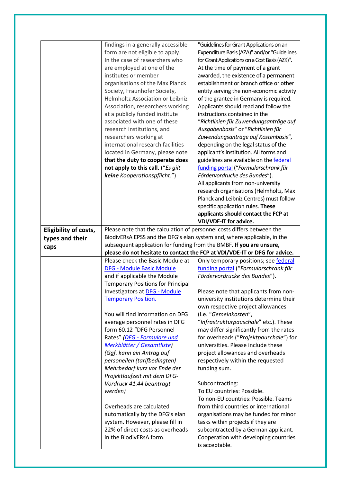|                       | findings in a generally accessible<br>form are not eligible to apply.   | "Guidelines for Grant Applications on an<br>Expenditure Basis (AZA)" and/or "Guidelines |
|-----------------------|-------------------------------------------------------------------------|-----------------------------------------------------------------------------------------|
|                       | In the case of researchers who                                          | for Grant Applications on a Cost Basis (AZK)".                                          |
|                       | are employed at one of the                                              | At the time of payment of a grant                                                       |
|                       | institutes or member                                                    | awarded, the existence of a permanent                                                   |
|                       | organisations of the Max Planck                                         | establishment or branch office or other                                                 |
|                       | Society, Fraunhofer Society,                                            | entity serving the non-economic activity                                                |
|                       | Helmholtz Association or Leibniz                                        | of the grantee in Germany is required.                                                  |
|                       | Association, researchers working                                        | Applicants should read and follow the                                                   |
|                       | at a publicly funded institute                                          | instructions contained in the                                                           |
|                       | associated with one of these                                            | "Richtlinien für Zuwendungsanträge auf                                                  |
|                       | research institutions, and                                              | Ausgabenbasis" or "Richtlinien für                                                      |
|                       | researchers working at                                                  | Zuwendungsanträge auf Kostenbasis",                                                     |
|                       | international research facilities                                       | depending on the legal status of the                                                    |
|                       | located in Germany, please note                                         | applicant's institution. All forms and                                                  |
|                       | that the duty to cooperate does                                         | guidelines are available on the federal                                                 |
|                       | not apply to this call. ("Es gilt                                       | funding portal ("Formularschrank für                                                    |
|                       | keine Kooperationspflicht.")                                            | Fördervordrucke des Bundes").                                                           |
|                       |                                                                         | All applicants from non-university                                                      |
|                       |                                                                         | research organisations (Helmholtz, Max                                                  |
|                       |                                                                         | Planck and Leibniz Centres) must follow                                                 |
|                       |                                                                         | specific application rules. These                                                       |
|                       |                                                                         | applicants should contact the FCP at                                                    |
|                       |                                                                         | VDI/VDE-IT for advice.                                                                  |
| Eligibility of costs, | Please note that the calculation of personnel costs differs between the |                                                                                         |
| types and their       |                                                                         | BiodivERsA EPSS and the DFG's elan system and, where applicable, in the                 |
| caps                  | subsequent application for funding from the BMBF. If you are unsure,    |                                                                                         |
|                       |                                                                         |                                                                                         |
|                       |                                                                         |                                                                                         |
|                       |                                                                         | please do not hesitate to contact the FCP at VDI/VDE-IT or DFG for advice.              |
|                       | Please check the Basic Module at                                        | Only temporary positions; see federal                                                   |
|                       | <b>DFG - Module Basic Module</b>                                        | funding portal ("Formularschrank für                                                    |
|                       | and if applicable the Module                                            | Fördervordrucke des Bundes").                                                           |
|                       | <b>Temporary Positions for Principal</b>                                |                                                                                         |
|                       | <b>Investigators at DFG - Module</b>                                    | Please note that applicants from non-                                                   |
|                       | <b>Temporary Position.</b>                                              | university institutions determine their                                                 |
|                       |                                                                         | own respective project allowances                                                       |
|                       | You will find information on DFG                                        | (i.e. "Gemeinkosten",                                                                   |
|                       | average personnel rates in DFG                                          | "Infrastrukturpauschale" etc.). These                                                   |
|                       | form 60.12 "DFG Personnel                                               | may differ significantly from the rates                                                 |
|                       | Rates" (DFG - Formulare und                                             | for overheads ("Projektpauschale") for                                                  |
|                       | Merkblätter / Gesamtliste)                                              | universities. Please include these                                                      |
|                       | (Ggf. kann ein Antrag auf                                               | project allowances and overheads                                                        |
|                       | personellen (tarifbedingten)                                            | respectively within the requested                                                       |
|                       | Mehrbedarf kurz vor Ende der                                            | funding sum.                                                                            |
|                       | Projektlaufzeit mit dem DFG-                                            |                                                                                         |
|                       | Vordruck 41.44 beantragt                                                | Subcontracting:                                                                         |
|                       | werden)                                                                 | To EU countries: Possible.                                                              |
|                       |                                                                         | To non-EU countries: Possible. Teams                                                    |
|                       | Overheads are calculated                                                | from third countries or international                                                   |
|                       | automatically by the DFG's elan                                         | organisations may be funded for minor                                                   |
|                       | system. However, please fill in                                         | tasks within projects if they are                                                       |
|                       | 22% of direct costs as overheads<br>in the BiodivERsA form.             | subcontracted by a German applicant.<br>Cooperation with developing countries           |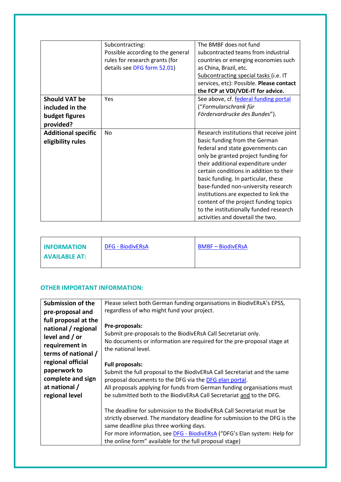|                                                                        | Subcontracting:<br>Possible according to the general<br>rules for research grants (for<br>details see DFG form 52.01) | The BMBF does not fund<br>subcontracted teams from industrial<br>countries or emerging economies such<br>as China, Brazil, etc.<br>Subcontracting special tasks (i.e. IT                                                                                                                                                                                                                                                                                                             |
|------------------------------------------------------------------------|-----------------------------------------------------------------------------------------------------------------------|--------------------------------------------------------------------------------------------------------------------------------------------------------------------------------------------------------------------------------------------------------------------------------------------------------------------------------------------------------------------------------------------------------------------------------------------------------------------------------------|
|                                                                        |                                                                                                                       | services, etc): Possible. Please contact<br>the FCP at VDI/VDE-IT for advice.                                                                                                                                                                                                                                                                                                                                                                                                        |
| <b>Should VAT be</b><br>included in the<br>budget figures<br>provided? | Yes                                                                                                                   | See above, cf. federal funding portal<br>("Formularschrank für<br>Fördervordrucke des Bundes").                                                                                                                                                                                                                                                                                                                                                                                      |
| <b>Additional specific</b><br>eligibility rules                        | No                                                                                                                    | Research institutions that receive joint<br>basic funding from the German<br>federal and state governments can<br>only be granted project funding for<br>their additional expenditure under<br>certain conditions in addition to their<br>basic funding. In particular, these<br>base-funded non-university research<br>institutions are expected to link the<br>content of the project funding topics<br>to the institutionally funded research<br>activities and dovetail the two. |

| <b>INFORMATION</b>   | <b>DFG - BiodivERsA</b> | <b>BMBF - BiodivERsA</b> |
|----------------------|-------------------------|--------------------------|
| <b>AVAILABLE AT:</b> |                         |                          |

#### **OTHER IMPORTANT INFORMATION:**

| <b>Submission of the</b>                                                                  | Please select both German funding organisations in BiodivERsA's EPSS,                                                                                                                                                                                                                                                                        |
|-------------------------------------------------------------------------------------------|----------------------------------------------------------------------------------------------------------------------------------------------------------------------------------------------------------------------------------------------------------------------------------------------------------------------------------------------|
| pre-proposal and<br>full proposal at the                                                  | regardless of who might fund your project.                                                                                                                                                                                                                                                                                                   |
| national / regional<br>level and / or<br>requirement in<br>terms of national /            | Pre-proposals:<br>Submit pre-proposals to the BiodivERsA Call Secretariat only.<br>No documents or information are required for the pre-proposal stage at<br>the national level.                                                                                                                                                             |
| regional official<br>paperwork to<br>complete and sign<br>at national /<br>regional level | <b>Full proposals:</b><br>Submit the full proposal to the BiodivERsA Call Secretariat and the same<br>proposal documents to the DFG via the DFG elan portal.<br>All proposals applying for funds from German funding organisations must<br>be submitted both to the BiodivERsA Call Secretariat and to the DFG.                              |
|                                                                                           | The deadline for submission to the BiodivERsA Call Secretariat must be<br>strictly observed. The mandatory deadline for submission to the DFG is the<br>same deadline plus three working days.<br>For more information, see <b>DFG</b> - BiodivERsA ("DFG's Elan system: Help for<br>the online form" available for the full proposal stage) |